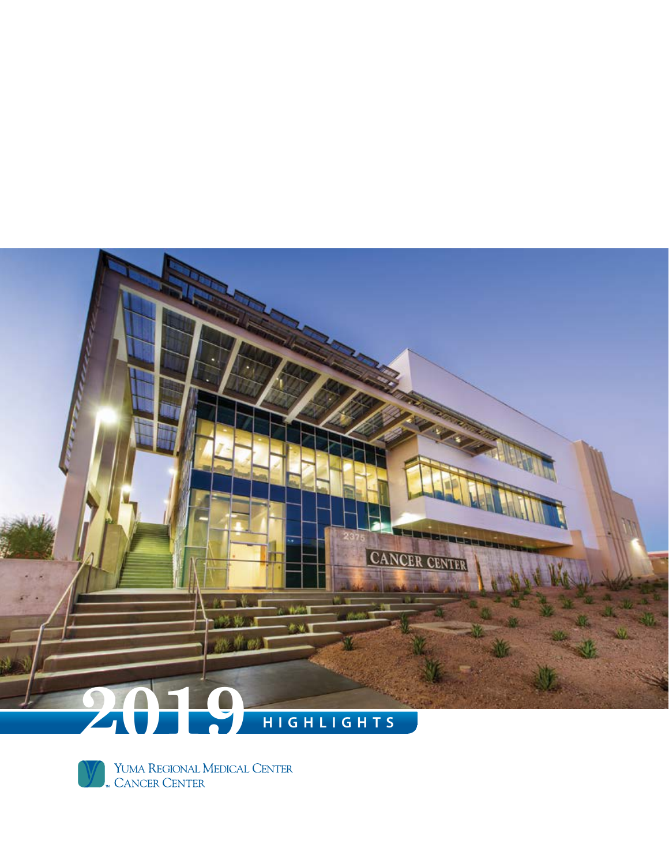



YUMA REGIONAL MEDICAL CENTER<br>" CANCER CENTER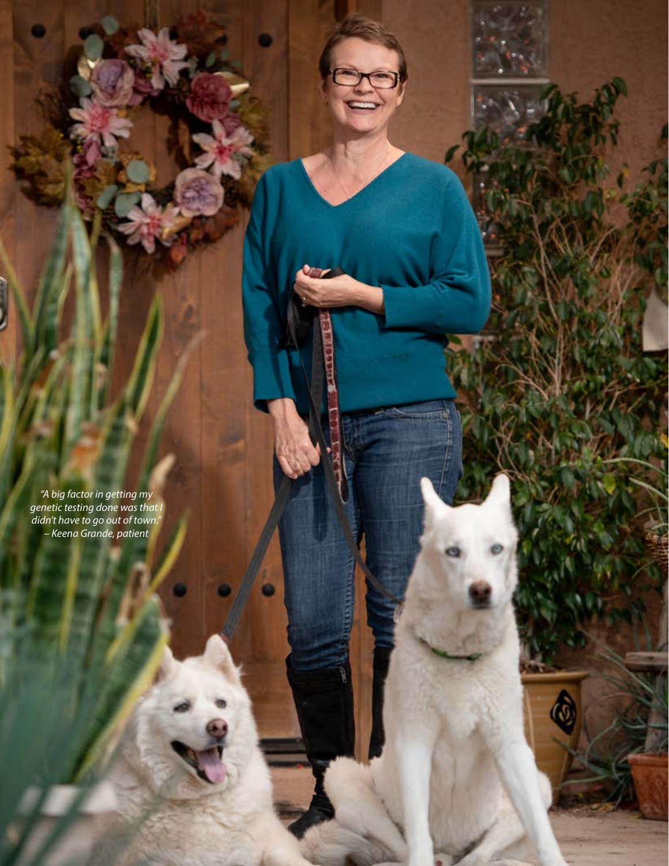*"A big factor in getting my genetic testing done was that I didn't have to go out of town." – Keena Grande, patient*

Ò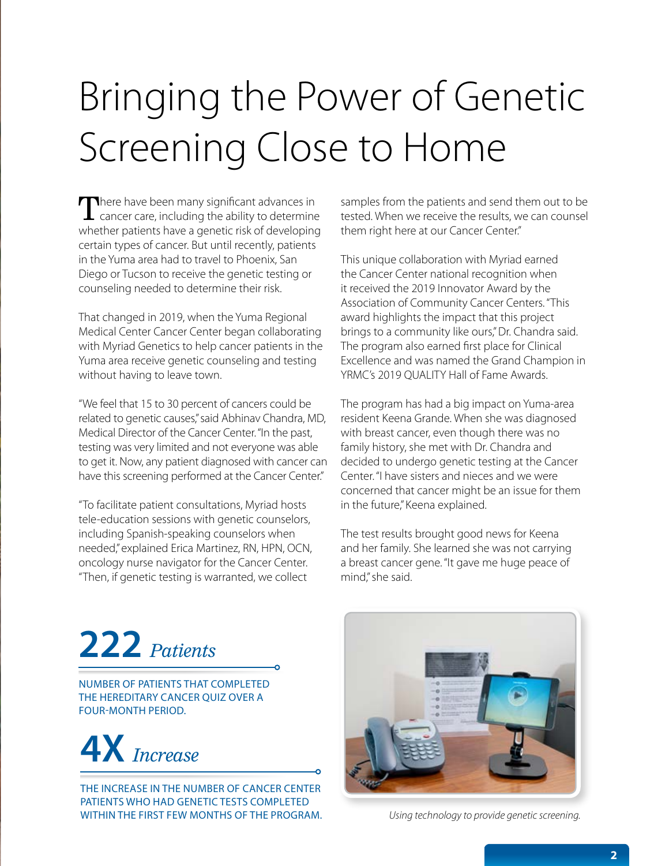# Bringing the Power of Genetic Screening Close to Home

There have been many significant advances in  $\blacksquare$  cancer care, including the ability to determine whether patients have a genetic risk of developing certain types of cancer. But until recently, patients in the Yuma area had to travel to Phoenix, San Diego or Tucson to receive the genetic testing or counseling needed to determine their risk.

That changed in 2019, when the Yuma Regional Medical Center Cancer Center began collaborating with Myriad Genetics to help cancer patients in the Yuma area receive genetic counseling and testing without having to leave town.

"We feel that 15 to 30 percent of cancers could be related to genetic causes," said Abhinav Chandra, MD, Medical Director of the Cancer Center. "In the past, testing was very limited and not everyone was able to get it. Now, any patient diagnosed with cancer can have this screening performed at the Cancer Center."

"To facilitate patient consultations, Myriad hosts tele-education sessions with genetic counselors, including Spanish-speaking counselors when needed," explained Erica Martinez, RN, HPN, OCN, oncology nurse navigator for the Cancer Center. "Then, if genetic testing is warranted, we collect

samples from the patients and send them out to be tested. When we receive the results, we can counsel them right here at our Cancer Center."

This unique collaboration with Myriad earned the Cancer Center national recognition when it received the 2019 Innovator Award by the Association of Community Cancer Centers. "This award highlights the impact that this project brings to a community like ours," Dr. Chandra said. The program also earned first place for Clinical Excellence and was named the Grand Champion in YRMC's 2019 QUALITY Hall of Fame Awards.

The program has had a big impact on Yuma-area resident Keena Grande. When she was diagnosed with breast cancer, even though there was no family history, she met with Dr. Chandra and decided to undergo genetic testing at the Cancer Center. "I have sisters and nieces and we were concerned that cancer might be an issue for them in the future," Keena explained.

The test results brought good news for Keena and her family. She learned she was not carrying a breast cancer gene. "It gave me huge peace of mind," she said.

#### **222** *Patients*

NUMBER OF PATIENTS THAT COMPLETED THE HEREDITARY CANCER QUIZ OVER A FOUR-MONTH PERIOD.



THE INCREASE IN THE NUMBER OF CANCER CENTER PATIENTS WHO HAD GENETIC TESTS COMPLETED WITHIN THE FIRST FFW MONTHS OF THE PROGRAM.



*Using technology to provide genetic screening.*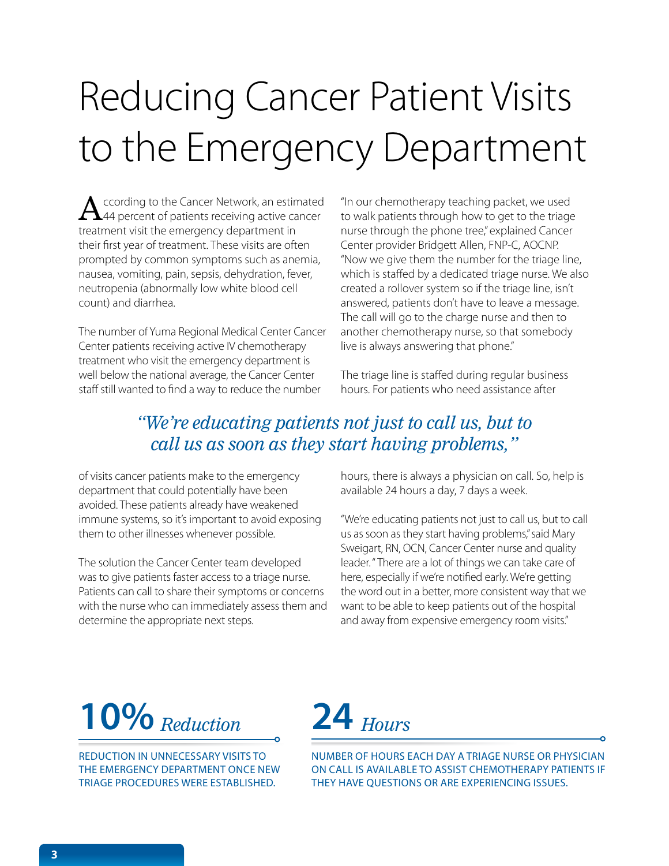## Reducing Cancer Patient Visits to the Emergency Department

 $\bigwedge$  ccording to the Cancer Network, an estimated<br> $\bigwedge$ 44 percent of patients receiving active cancer treatment visit the emergency department in their first year of treatment. These visits are often prompted by common symptoms such as anemia, nausea, vomiting, pain, sepsis, dehydration, fever, neutropenia (abnormally low white blood cell count) and diarrhea.

The number of Yuma Regional Medical Center Cancer Center patients receiving active IV chemotherapy treatment who visit the emergency department is well below the national average, the Cancer Center staff still wanted to find a way to reduce the number

"In our chemotherapy teaching packet, we used to walk patients through how to get to the triage nurse through the phone tree," explained Cancer Center provider Bridgett Allen, FNP-C, AOCNP. "Now we give them the number for the triage line, which is staffed by a dedicated triage nurse. We also created a rollover system so if the triage line, isn't answered, patients don't have to leave a message. The call will go to the charge nurse and then to another chemotherapy nurse, so that somebody live is always answering that phone."

The triage line is staffed during regular business hours. For patients who need assistance after

#### *"We're educating patients not just to call us, but to call us as soon as they start having problems,"*

of visits cancer patients make to the emergency department that could potentially have been avoided. These patients already have weakened immune systems, so it's important to avoid exposing them to other illnesses whenever possible.

The solution the Cancer Center team developed was to give patients faster access to a triage nurse. Patients can call to share their symptoms or concerns with the nurse who can immediately assess them and determine the appropriate next steps.

hours, there is always a physician on call. So, help is available 24 hours a day, 7 days a week.

"We're educating patients not just to call us, but to call us as soon as they start having problems," said Mary Sweigart, RN, OCN, Cancer Center nurse and quality leader. " There are a lot of things we can take care of here, especially if we're notified early. We're getting the word out in a better, more consistent way that we want to be able to keep patients out of the hospital and away from expensive emergency room visits."

#### **10%**

REDUCTION IN UNNECESSARY VISITS TO THE EMERGENCY DEPARTMENT ONCE NEW TRIAGE PROCEDURES WERE ESTABLISHED.



NUMBER OF HOURS EACH DAY A TRIAGE NURSE OR PHYSICIAN ON CALL IS AVAILABLE TO ASSIST CHEMOTHERAPY PATIENTS IF THEY HAVE QUESTIONS OR ARE EXPERIENCING ISSUES.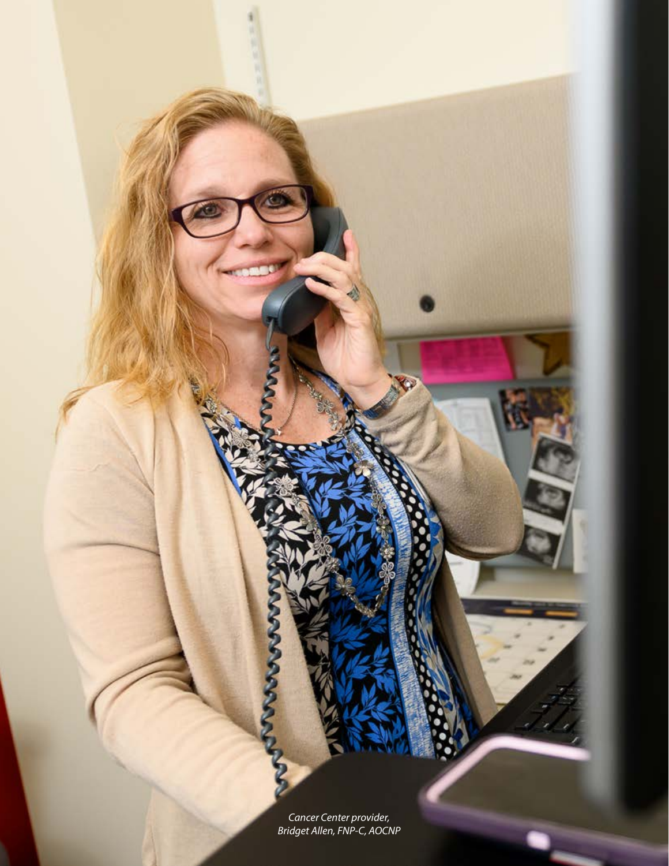*Cancer Center provider, Bridget Allen, FNP-C, AOCNP*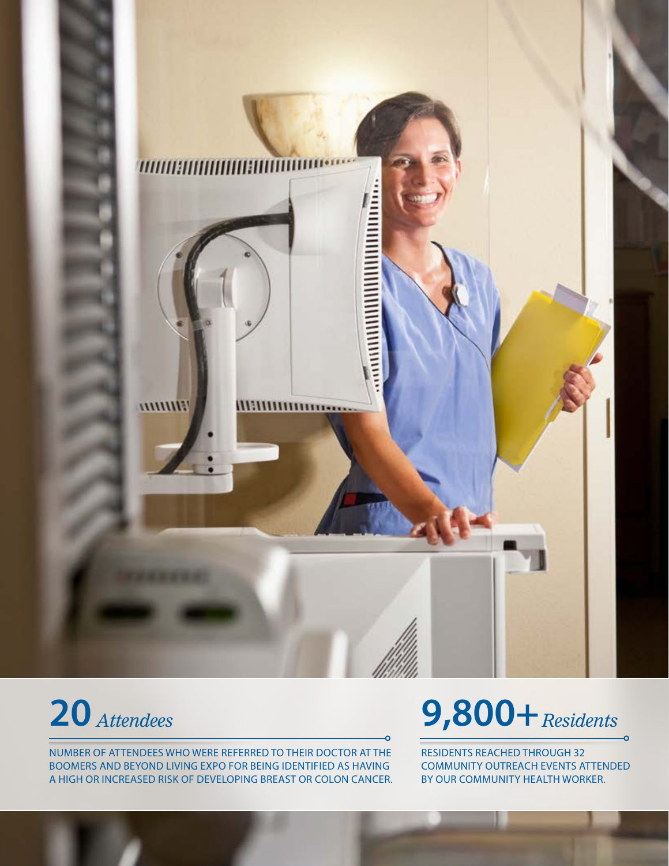



NUMBER OF ATTENDEES WHO WERE REFERRED TO THEIR DOCTOR AT THE BOOMERS AND BEYOND LIVING EXPO FOR BEING IDENTIFIED AS HAVING A HIGH OR INCREASED RISK OF DEVELOPING BREAST OR COLON CANCER.

### *Attendees* **9,800+** *Residents*

RESIDENTS REACHED THROUGH 32 COMMUNITY OUTREACH EVENTS ATTENDED BY OUR COMMUNITY HEALTH WORKER.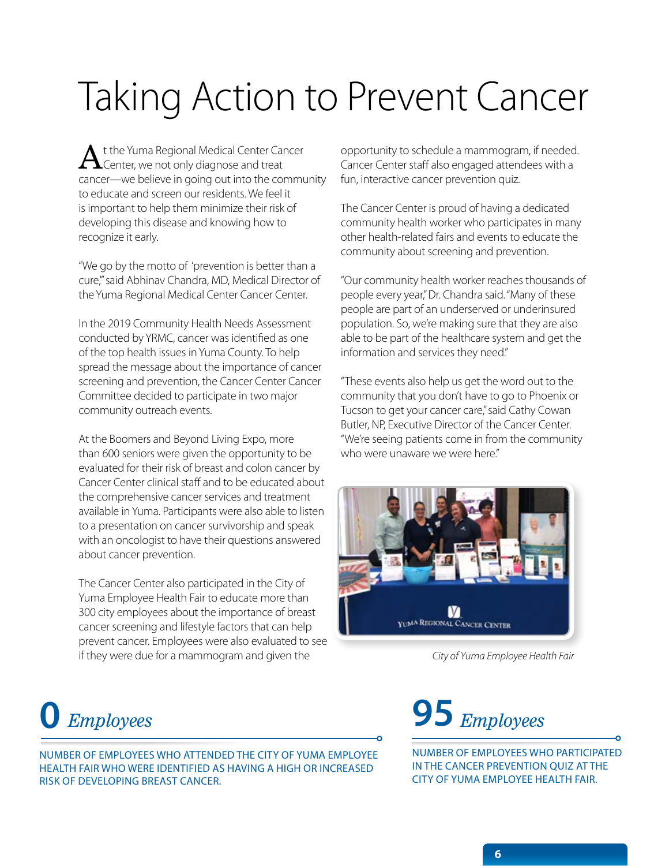## Taking Action to Prevent Cancer

t the Yuma Regional Medical Center Cancer  $\blacktriangle$ Center, we not only diagnose and treat cancer—we believe in going out into the community to educate and screen our residents. We feel it is important to help them minimize their risk of developing this disease and knowing how to recognize it early.

"We go by the motto of 'prevention is better than a cure,"' said Abhinav Chandra, MD, Medical Director of the Yuma Regional Medical Center Cancer Center.

In the 2019 Community Health Needs Assessment conducted by YRMC, cancer was identified as one of the top health issues in Yuma County. To help spread the message about the importance of cancer screening and prevention, the Cancer Center Cancer Committee decided to participate in two major community outreach events.

At the Boomers and Beyond Living Expo, more than 600 seniors were given the opportunity to be evaluated for their risk of breast and colon cancer by Cancer Center clinical staff and to be educated about the comprehensive cancer services and treatment available in Yuma. Participants were also able to listen to a presentation on cancer survivorship and speak with an oncologist to have their questions answered about cancer prevention.

The Cancer Center also participated in the City of Yuma Employee Health Fair to educate more than 300 city employees about the importance of breast cancer screening and lifestyle factors that can help prevent cancer. Employees were also evaluated to see if they were due for a mammogram and given the

opportunity to schedule a mammogram, if needed. Cancer Center staff also engaged attendees with a fun, interactive cancer prevention quiz.

The Cancer Center is proud of having a dedicated community health worker who participates in many other health-related fairs and events to educate the community about screening and prevention.

"Our community health worker reaches thousands of people every year," Dr. Chandra said. "Many of these people are part of an underserved or underinsured population. So, we're making sure that they are also able to be part of the healthcare system and get the information and services they need."

"These events also help us get the word out to the community that you don't have to go to Phoenix or Tucson to get your cancer care," said Cathy Cowan Butler, NP, Executive Director of the Cancer Center. "We're seeing patients come in from the community who were unaware we were here."



*City of Yuma Employee Health Fair*

#### **0**

NUMBER OF EMPLOYEES WHO ATTENDED THE CITY OF YUMA EMPLOYEE HEALTH FAIR WHO WERE IDENTIFIED AS HAVING A HIGH OR INCREASED RISK OF DEVELOPING BREAST CANCER.



NUMBER OF EMPLOYEES WHO PARTICIPATED IN THE CANCER PREVENTION QUIZ AT THE CITY OF YUMA EMPLOYEE HEALTH FAIR.